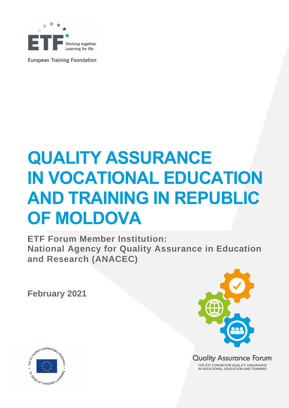

**European Training Foundation** 

# **QUALITY ASSURANCE IN VOCATIONAL EDUCATION AND TRAINING IN REPUBLIC OF MOLDOVA**

**ETF Forum Member Institution: National Agency for Quality Assurance in Education and Research (ANACEC)**

**February 2021**



ASSENCT SUPPORTING COURT **PORTELOP THROUGH LEAR** 

**Quality Assurance Forum** 

**THE ETF FORUM FOR QUALITY ASSURANCE IN VOCATIONAL EDUCATION AND TRAINING**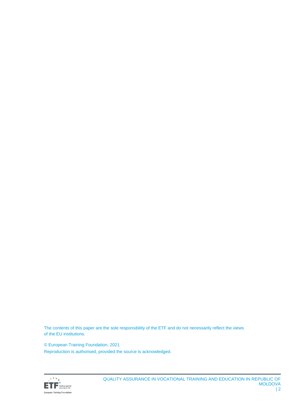The contents of this paper are the sole responsibility of the ETF and do not necessarily reflect the views of the EU institutions.

© European Training Foundation, 2021 Reproduction is authorised, provided the source is acknowledged.

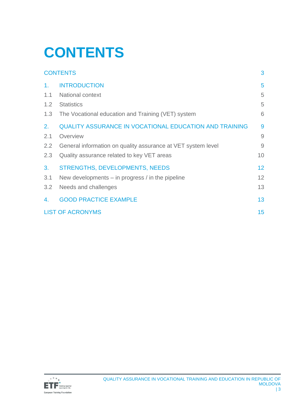# <span id="page-2-0"></span>**CONTENTS**

| <b>CONTENTS</b> |                                                               | 3              |
|-----------------|---------------------------------------------------------------|----------------|
| 1 <sub>1</sub>  | <b>INTRODUCTION</b>                                           | 5              |
| 1.1             | <b>National context</b>                                       | 5              |
| 1.2             | <b>Statistics</b>                                             | 5              |
| 1.3             | The Vocational education and Training (VET) system            | 6              |
| 2.              | <b>QUALITY ASSURANCE IN VOCATIONAL EDUCATION AND TRAINING</b> | 9              |
| 2.1             | Overview                                                      | 9              |
| 2.2             | General information on quality assurance at VET system level  | $\overline{9}$ |
| 2.3             | Quality assurance related to key VET areas                    | 10             |
| 3.              | <b>STRENGTHS, DEVELOPMENTS, NEEDS</b>                         | 12             |
| 3.1             | New developments $-$ in progress / in the pipeline            | 12             |
| 3.2             | Needs and challenges                                          | 13             |
| 4.              | <b>GOOD PRACTICE EXAMPLE</b>                                  | 13             |
|                 | <b>LIST OF ACRONYMS</b>                                       | 15             |

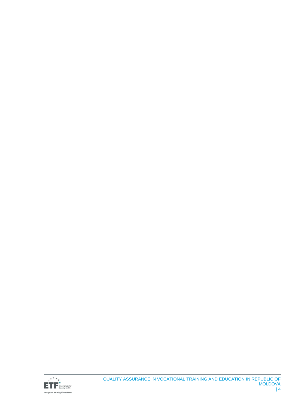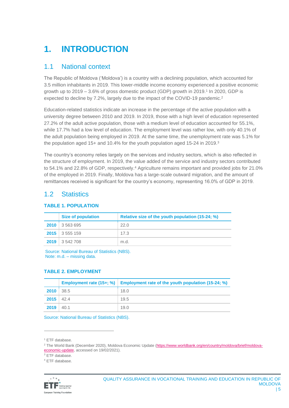# <span id="page-4-0"></span>**1. INTRODUCTION**

### <span id="page-4-1"></span>1.1 National context

The Republic of Moldova ('Moldova') is a country with a declining population, which accounted for 3.5 million inhabitants in 2019. This lower-middle income economy experienced a positive economic growth up to  $2019 - 3.6\%$  of gross domestic product (GDP) growth in  $2019.1$  In  $2020$ , GDP is expected to decline by 7.2%, largely due to the impact of the COVID-19 pandemic.<sup>2</sup>

Education-related statistics indicate an increase in the percentage of the active population with a university degree between 2010 and 2019. In 2019, those with a high level of education represented 27.2% of the adult active population, those with a medium level of education accounted for 55.1%, while 17.7% had a low level of education. The employment level was rather low, with only 40.1% of the adult population being employed in 2019. At the same time, the unemployment rate was 5.1% for the population aged 15+ and 10.4% for the youth population aged 15-24 in 2019.<sup>3</sup>

The country's economy relies largely on the services and industry sectors, which is also reflected in the structure of employment. In 2019, the value added of the service and industry sectors contributed to 54.1% and 22.8% of GDP, respectively.<sup>4</sup> Agriculture remains important and provided jobs for 21.0% of the employed in 2019. Finally, Moldova has a large-scale outward migration, and the amount of remittances received is significant for the country's economy, representing 16.0% of GDP in 2019.

### <span id="page-4-2"></span>1.2 Statistics

#### **TABLE 1. POPULATION**

|             | <b>Size of population</b> | Relative size of the youth population (15-24; %) |
|-------------|---------------------------|--------------------------------------------------|
| <b>2010</b> | 3 563 695                 | 22.0                                             |
| 2015        | $\parallel$ 3 555 159     | 17.3                                             |
| 2019        | $\frac{1}{3}$ 542 708     | m.d.                                             |

Source: National Bureau of Statistics (NBS). Note: m.d. – missing data.

#### **TABLE 2. EMPLOYMENT**

|      | Employment rate $(15+; \%)$ | Employment rate of the youth population (15-24; %) |
|------|-----------------------------|----------------------------------------------------|
| 2010 | 38.5                        | 18.0                                               |
| 2015 | 42.4                        | 19.5                                               |
| 2019 | 40.1                        | 19.0                                               |

Source: National Bureau of Statistics (NBS).

<sup>4</sup> ETF database.



<sup>&</sup>lt;sup>1</sup> ETF database.

<sup>&</sup>lt;sup>2</sup> The World Bank (December 2020), Moldova Economic Update [\(https://www.worldbank.org/en/country/moldova/brief/moldova](https://www.worldbank.org/en/country/moldova/brief/moldova-economic-update)[economic-update,](https://www.worldbank.org/en/country/moldova/brief/moldova-economic-update) accessed on 19/02/2021).

<sup>3</sup> ETF database.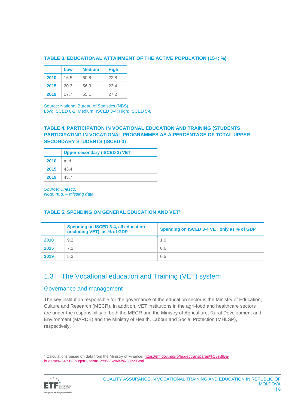|      | Low  | <b>Medium</b> | <b>High</b> |
|------|------|---------------|-------------|
| 2010 | 16.5 | 60.8          | 22.8        |
| 2015 | 20.3 | 56.3          | 23.4        |
| 2019 | 17.7 | 55.1          | 27.2        |

#### **TABLE 3. EDUCATIONAL ATTAINMENT OF THE ACTIVE POPULATION (15+; %)**

Source: National Bureau of Statistics (NBS). Low: ISCED 0-2; Medium: ISCED 3-4; High: ISCED 5-8.

#### **TABLE 4. PARTICIPATION IN VOCATIONAL EDUCATION AND TRAINING (STUDENTS PARTICIPATING IN VOCATIONAL PROGRAMMES AS A PERCENTAGE OF TOTAL UPPER SECONDARY STUDENTS (ISCED 3)**

|      | <b>Upper-secondary (ISCED 3) VET</b> |
|------|--------------------------------------|
| 2010 | m.d.                                 |
| 2015 | -43.4                                |
| 2019 | 45.7                                 |

*Source: Unesco. Note: m.d. – missing data.*

#### **TABLE 5. SPENDING ON GENERAL EDUCATION AND VET<sup>5</sup>**

|      | Spending on ISCED 3-4, all education<br>(including VET) as % of GDP | Spending on ISCED 3-4 VET only as % of GDP |
|------|---------------------------------------------------------------------|--------------------------------------------|
| 2010 | 9.2                                                                 | 1.0                                        |
| 2015 | 7.2                                                                 | 0.6                                        |
| 2019 | 5.3                                                                 | 0.5                                        |

## <span id="page-5-0"></span>1.3 The Vocational education and Training (VET) system

#### Governance and management

The key institution responsible for the governance of the education sector is the Ministry of Education, Culture and Research (MECR). In addition, VET institutions in the agri-food and healthcare sectors are under the responsibility of both the MECR and the Ministry of Agriculture, Rural Development and Environment (MARDE) and the Ministry of Health, Labour and Social Protection (MHLSP), respectively.

<sup>5</sup> Calculations based on data from the Ministry of Finance[: https://mf.gov.md/ro/buget/transparen%C8%9Ba](https://mf.gov.md/ro/buget/transparen%C8%9Ba-bugetar%C4%83/bugetul-pentru-cet%C4%83%C8%9Beni)[bugetar%C4%83/bugetul-pentru-cet%C4%83%C8%9Beni](https://mf.gov.md/ro/buget/transparen%C8%9Ba-bugetar%C4%83/bugetul-pentru-cet%C4%83%C8%9Beni)

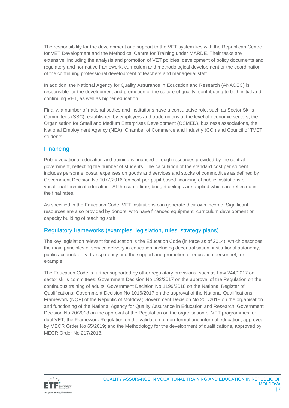The responsibility for the development and support to the VET system lies with the Republican Centre for VET Development and the Methodical Centre for Training under MARDE. Their tasks are extensive, including the analysis and promotion of VET policies, development of policy documents and regulatory and normative framework, curriculum and methodological development or the coordination of the continuing professional development of teachers and managerial staff.

In addition, the National Agency for Quality Assurance in Education and Research (ANACEC) is responsible for the development and promotion of the culture of quality, contributing to both initial and continuing VET, as well as higher education.

Finally, a number of national bodies and institutions have a consultative role, such as Sector Skills Committees (SSC), established by employers and trade unions at the level of economic sectors, the Organisation for Small and Medium Enterprises Development (OSMED), business associations, the National Employment Agency (NEA), Chamber of Commerce and Industry (CCI) and Council of TVET students.

#### **Financing**

Public vocational education and training is financed through resources provided by the central government, reflecting the number of students. The calculation of the standard cost per student includes personnel costs, expenses on goods and services and stocks of commodities as defined by Government Decision No 1077/2016 'on cost-per-pupil-based financing of public institutions of vocational technical education'. At the same time, budget ceilings are applied which are reflected in the final rates.

As specified in the Education Code, VET institutions can generate their own income. Significant resources are also provided by donors, who have financed equipment, curriculum development or capacity building of teaching staff.

#### Regulatory frameworks (examples: legislation, rules, strategy plans)

The key legislation relevant for education is the Education Code (in force as of 2014), which describes the main principles of service delivery in education, including decentralisation, institutional autonomy, public accountability, transparency and the support and promotion of education personnel, for example.

The Education Code is further supported by other regulatory provisions, such as Law 244/2017 on sector skills committees; Government Decision No 193/2017 on the approval of the Regulation on the continuous training of adults; Government Decision No 1199/2018 on the National Register of Qualifications; Government Decision No 1016/2017 on the approval of the National Qualifications Framework (NQF) of the Republic of Moldova; Government Decision No 201/2018 on the organisation and functioning of the National Agency for Quality Assurance in Education and Research; Government Decision No 70/2018 on the approval of the Regulation on the organisation of VET programmes for dual VET; the Framework Regulation on the validation of non-formal and informal education, approved by MECR Order No 65/2019; and the Methodology for the development of qualifications, approved by MECR Order No 217/2018.

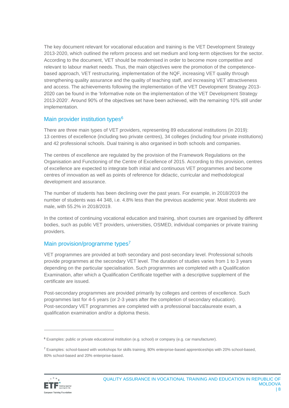The key document relevant for vocational education and training is the VET Development Strategy 2013-2020, which outlined the reform process and set medium and long-term objectives for the sector. According to the document, VET should be modernised in order to become more competitive and relevant to labour market needs. Thus, the main objectives were the promotion of the competencebased approach, VET restructuring, implementation of the NQF, increasing VET quality through strengthening quality assurance and the quality of teaching staff, and increasing VET attractiveness and access. The achievements following the implementation of the VET Development Strategy 2013- 2020 can be found in the 'Informative note on the implementation of the VET Development Strategy 2013-2020'. Around 90% of the objectives set have been achieved, with the remaining 10% still under implementation.

#### Main provider institution types<sup>6</sup>

There are three main types of VET providers, representing 89 educational institutions (in 2019): 13 centres of excellence (including two private centres), 34 colleges (including four private institutions) and 42 professional schools. Dual training is also organised in both schools and companies.

The centres of excellence are regulated by the provision of the Framework Regulations on the Organisation and Functioning of the Centre of Excellence of 2015. According to this provision, centres of excellence are expected to integrate both initial and continuous VET programmes and become centres of innovation as well as points of reference for didactic, curricular and methodological development and assurance.

The number of students has been declining over the past years. For example, in 2018/2019 the number of students was 44 348, i.e. 4.8% less than the previous academic year. Most students are male, with 55.2% in 2018/2019.

In the context of continuing vocational education and training, short courses are organised by different bodies, such as public VET providers, universities, OSMED, individual companies or private training providers.

#### Main provision/programme types<sup>7</sup>

VET programmes are provided at both secondary and post-secondary level. Professional schools provide programmes at the secondary VET level. The duration of studies varies from 1 to 3 years depending on the particular specialisation. Such programmes are completed with a Qualification Examination, after which a Qualification Certificate together with a descriptive supplement of the certificate are issued.

Post-secondary programmes are provided primarily by colleges and centres of excellence. Such programmes last for 4-5 years (or 2-3 years after the completion of secondary education). Post-secondary VET programmes are completed with a professional baccalaureate exam, a qualification examination and/or a diploma thesis.

<sup>7</sup> Examples: school-based with workshops for skills training, 80% enterprise-based apprenticeships with 20% school-based, 80% school-based and 20% enterprise-based.



<sup>6</sup> Examples: public or private educational institution (e.g. school) or company (e.g. car manufacturer).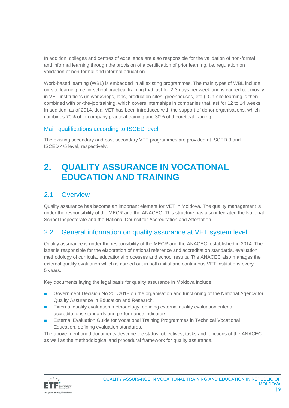In addition, colleges and centres of excellence are also responsible for the validation of non-formal and informal learning through the provision of a certification of prior learning, i.e. regulation on validation of non-formal and informal education.

Work-based learning (WBL) is embedded in all existing programmes. The main types of WBL include on-site learning, i.e. in-school practical training that last for 2-3 days per week and is carried out mostly in VET institutions (in workshops, labs, production sites, greenhouses, etc.). On-site learning is then combined with on-the-job training, which covers internships in companies that last for 12 to 14 weeks. In addition, as of 2014, dual VET has been introduced with the support of donor organisations, which combines 70% of in-company practical training and 30% of theoretical training.

#### Main qualifications according to ISCED level

The existing secondary and post-secondary VET programmes are provided at ISCED 3 and ISCED 4/5 level, respectively.

# <span id="page-8-0"></span>**2. QUALITY ASSURANCE IN VOCATIONAL EDUCATION AND TRAINING**

## <span id="page-8-1"></span>2.1 Overview

Quality assurance has become an important element for VET in Moldova. The quality management is under the responsibility of the MECR and the ANACEC. This structure has also integrated the National School Inspectorate and the National Council for Accreditation and Attestation.

## <span id="page-8-2"></span>2.2 General information on quality assurance at VET system level

Quality assurance is under the responsibility of the MECR and the ANACEC, established in 2014. The latter is responsible for the elaboration of national reference and accreditation standards, evaluation methodology of curricula, educational processes and school results. The ANACEC also manages the external quality evaluation which is carried out in both initial and continuous VET institutions every 5 years.

Key documents laying the legal basis for quality assurance in Moldova include:

- Government Decision No 201/2018 on the organisation and functioning of the National Agency for Quality Assurance in Education and Research.
- External quality evaluation methodology, defining external quality evaluation criteria, accreditations standards and performance indicators.
- External Evaluation Guide for Vocational Training Programmes in Technical Vocational Education, defining evaluation standards.

The above-mentioned documents describe the status, objectives, tasks and functions of the ANACEC as well as the methodological and procedural framework for quality assurance.

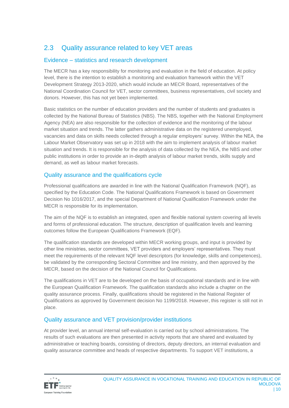# <span id="page-9-0"></span>2.3 Quality assurance related to key VET areas

#### Evidence – statistics and research development

The MECR has a key responsibility for monitoring and evaluation in the field of education. At policy level, there is the intention to establish a monitoring and evaluation framework within the VET Development Strategy 2013-2020, which would include an MECR Board, representatives of the National Coordination Council for VET, sector committees, business representatives, civil society and donors. However, this has not yet been implemented.

Basic statistics on the number of education providers and the number of students and graduates is collected by the National Bureau of Statistics (NBS). The NBS, together with the National Employment Agency (NEA) are also responsible for the collection of evidence and the monitoring of the labour market situation and trends. The latter gathers administrative data on the registered unemployed, vacancies and data on skills needs collected through a regular employers' survey. Within the NEA, the Labour Market Observatory was set up in 2018 with the aim to implement analysis of labour market situation and trends. It is responsible for the analysis of data collected by the NEA, the NBS and other public institutions in order to provide an in-depth analysis of labour market trends, skills supply and demand, as well as labour market forecasts.

#### Quality assurance and the qualifications cycle

Professional qualifications are awarded in line with the National Qualification Framework (NQF), as specified by the Education Code. The National Qualifications Framework is based on Government Decision No 1016/2017, and the special Department of National Qualification Framework under the MECR is responsible for its implementation.

The aim of the NQF is to establish an integrated, open and flexible national system covering all levels and forms of professional education. The structure, description of qualification levels and learning outcomes follow the European Qualifications Framework (EQF).

The qualification standards are developed within MECR working groups, and input is provided by other line ministries, sector committees, VET providers and employers' representatives. They must meet the requirements of the relevant NQF level descriptors (for knowledge, skills and competences), be validated by the corresponding Sectoral Committee and line ministry, and then approved by the MECR, based on the decision of the National Council for Qualifications.

The qualifications in VET are to be developed on the basis of occupational standards and in line with the European Qualification Framework. The qualification standards also include a chapter on the quality assurance process. Finally, qualifications should be registered in the National Register of Qualifications as approved by Government decision No 1199/2018. However, this register is still not in place.

#### Quality assurance and VET provision/provider institutions

At provider level, an annual internal self-evaluation is carried out by school administrations. The results of such evaluations are then presented in activity reports that are shared and evaluated by administrative or teaching boards, consisting of directors, deputy directors, an internal evaluation and quality assurance committee and heads of respective departments. To support VET institutions, a

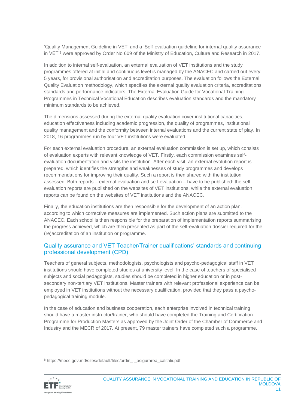'Quality Management Guideline in VET' and a 'Self-evaluation guideline for internal quality assurance in VET'<sup>8</sup> were approved by Order No 609 of the Ministry of Education, Culture and Research in 2017.

In addition to internal self-evaluation, an external evaluation of VET institutions and the study programmes offered at initial and continuous level is managed by the ANACEC and carried out every 5 years, for provisional authorisation and accreditation purposes. The evaluation follows the External Quality Evaluation methodology, which specifies the external quality evaluation criteria, accreditations standards and performance indicators. The External Evaluation Guide for Vocational Training Programmes in Technical Vocational Education describes evaluation standards and the mandatory minimum standards to be achieved.

The dimensions assessed during the external quality evaluation cover institutional capacities, education effectiveness including academic progression, the quality of programmes, institutional quality management and the conformity between internal evaluations and the current state of play. In 2018, 16 programmes run by four VET institutions were evaluated.

For each external evaluation procedure, an external evaluation commission is set up, which consists of evaluation experts with relevant knowledge of VET. Firstly, each commission examines selfevaluation documentation and visits the institution. After each visit, an external evolution report is prepared, which identifies the strengths and weaknesses of study programmes and develops recommendations for improving their quality. Such a report is then shared with the institution assessed. Both reports – external evaluation and self-evaluation – have to be published: the selfevaluation reports are published on the websites of VET institutions, while the external evaluation reports can be found on the websites of VET institutions and the ANACEC.

Finally, the education institutions are then responsible for the development of an action plan, according to which corrective measures are implemented. Such action plans are submitted to the ANACEC. Each school is then responsible for the preparation of implementation reports summarising the progress achieved, which are then presented as part of the self-evaluation dossier required for the (re)accreditation of an institution or programme.

#### Quality assurance and VET Teacher/Trainer qualifications' standards and continuing professional development (CPD)

Teachers of general subjects, methodologists, psychologists and psycho-pedagogical staff in VET institutions should have completed studies at university level. In the case of teachers of specialised subjects and social pedagogists, studies should be completed in higher education or in postsecondary non-tertiary VET institutions. Master trainers with relevant professional experience can be employed in VET institutions without the necessary qualification, provided that they pass a psychopedagogical training module.

In the case of education and business cooperation, each enterprise involved in technical training should have a master instructor/trainer, who should have completed the Training and Certification Programme for Production Masters as approved by the Joint Order of the Chamber of Commerce and Industry and the MECR of 2017. At present, 79 master trainers have completed such a programme.

<sup>&</sup>lt;sup>8</sup> https://mecc.gov.md/sites/default/files/ordin - asigurarea calitatii.pdf

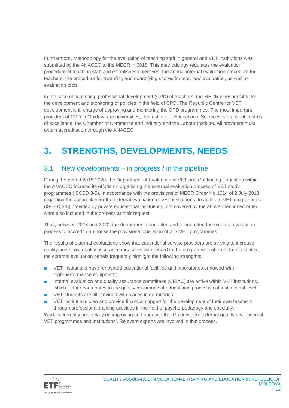Furthermore, methodology for the evaluation of teaching staff in general and VET institutions was submitted by the ANACEC to the MECR in 2018. This methodology regulates the evaluation procedure of teaching staff and establishes objectives, the annual internal evaluation procedure for teachers, the procedure for awarding and quantifying scores for teachers' evaluation, as well as evaluation tools.

In the case of continuing professional development (CPD) of teachers, the MECR is responsible for the development and monitoring of policies in the field of CPD. The Republic Centre for VET development is in charge of approving and monitoring the CPD programmes. The most important providers of CPD in Moldova are universities, the Institute of Educational Sciences, vocational centres of excellence, the Chamber of Commerce and Industry and the Labour Institute. All providers must obtain accreditation through the ANACEC.

# <span id="page-11-0"></span>**3. STRENGTHS, DEVELOPMENTS, NEEDS**

## <span id="page-11-1"></span>3.1 New developments – in progress / in the pipeline

During the period 2018-2020, the Department of Evaluation in VET and Continuing Education within the ANACEC focused its efforts on organising the external evaluation process of VET study programmes (ISCED 3-5), in accordance with the provisions of MECR Order No 1014 of 2 July 2018 regarding the action plan for the external evaluation of VET institutions. In addition, VET programmes (ISCED 3-5) provided by private educational institutions, not covered by the above-mentioned order, were also included in the process at their request.

Thus, between 2018 and 2020, the department conducted and coordinated the external evaluation process to accredit / authorise the provisional operation of 217 VET programmes.

The results of external evaluations show that educational service providers are striving to increase quality and boost quality assurance measures with regard to the programmes offered. In this context, the external evaluation panels frequently highlight the following strengths:

- VET institutions have renovated educational facilities and laboratories endowed with high-performance equipment:
- internal evaluation and quality assurance commitees (CEIAC) are active within VET institutions, which further contributes to the quality assurance of educational processes at institutional level;
- VET students are all provided with places in dormitories;
- VET institutions plan and provide financial support for the development of their own teachers through professional training activities in the field of psycho-pedagogy and specialty.

Work is currently under way on improving and updating the 'Guideline for external quality evaluation of VET programmes and institutions'. Relevant experts are involved in this process.

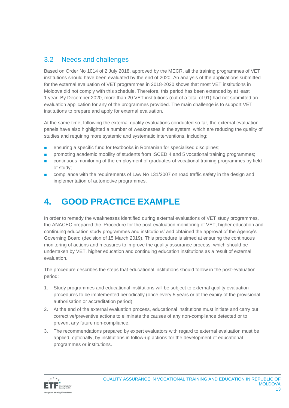## <span id="page-12-0"></span>3.2 Needs and challenges

Based on Order No 1014 of 2 July 2018, approved by the MECR, all the training programmes of VET institutions should have been evaluated by the end of 2020. An analysis of the applications submitted for the external evaluation of VET programmes in 2018-2020 shows that most VET institutions in Moldova did not comply with this schedule. Therefore, this period has been extended by at least 1 year. By December 2020, more than 20 VET institutions (out of a total of 91) had not submitted an evaluation application for any of the programmes provided. The main challenge is to support VET institutions to prepare and apply for external evaluation.

At the same time, following the external quality evaluations conducted so far, the external evaluation panels have also highlighted a number of weaknesses in the system, which are reducing the quality of studies and requiring more systemic and systematic interventions, including:

- ensuring a specific fund for textbooks in Romanian for specialised disciplines;
- **■** promoting academic mobility of students from ISCED 4 and 5 vocational training programmes;
- continuous monitoring of the employment of graduates of vocational training programmes by field of study;
- compliance with the requirements of Law No 131/2007 on road traffic safety in the design and implementation of automotive programmes.

# <span id="page-12-1"></span>**4. GOOD PRACTICE EXAMPLE**

In order to remedy the weaknesses identified during external evaluations of VET study programmes, the ANACEC prepared the 'Procedure for the post-evaluation monitoring of VET, higher education and continuing education study programmes and institutions' and obtained the approval of the Agency's Governing Board (decision of 15 March 2019). This procedure is aimed at ensuring the continuous monitoring of actions and measures to improve the quality assurance process, which should be undertaken by VET, higher education and continuing education institutions as a result of external evaluation.

The procedure describes the steps that educational institutions should follow in the post-evaluation period:

- 1. Study programmes and educational institutions will be subject to external quality evaluation procedures to be implemented periodically (once every 5 years or at the expiry of the provisional authorisation or accreditation period).
- 2. At the end of the external evaluation process, educational institutions must initiate and carry out corrective/preventive actions to eliminate the causes of any non-compliance detected or to prevent any future non-compliance.
- 3. The recommendations prepared by expert evaluators with regard to external evaluation must be applied, optionally, by institutions in follow-up actions for the development of educational programmes or institutions.

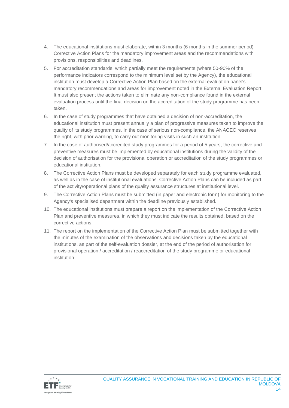- 4. The educational institutions must elaborate, within 3 months (6 months in the summer period) Corrective Action Plans for the mandatory improvement areas and the recommendations with provisions, responsibilities and deadlines.
- 5. For accreditation standards, which partially meet the requirements (where 50-90% of the performance indicators correspond to the minimum level set by the Agency), the educational institution must develop a Corrective Action Plan based on the external evaluation panel's mandatory recommendations and areas for improvement noted in the External Evaluation Report. It must also present the actions taken to eliminate any non-compliance found in the external evaluation process until the final decision on the accreditation of the study programme has been taken.
- 6. In the case of study programmes that have obtained a decision of non-accreditation, the educational institution must present annually a plan of progressive measures taken to improve the quality of its study programmes. In the case of serious non-compliance, the ANACEC reserves the right, with prior warning, to carry out monitoring visits in such an institution.
- 7. In the case of authorised/accredited study programmes for a period of 5 years, the corrective and preventive measures must be implemented by educational institutions during the validity of the decision of authorisation for the provisional operation or accreditation of the study programmes or educational institution.
- 8. The Corrective Action Plans must be developed separately for each study programme evaluated, as well as in the case of institutional evaluations. Corrective Action Plans can be included as part of the activity/operational plans of the quality assurance structures at institutional level.
- 9. The Corrective Action Plans must be submitted (in paper and electronic form) for monitoring to the Agency's specialised department within the deadline previously established.
- 10. The educational institutions must prepare a report on the implementation of the Corrective Action Plan and preventive measures, in which they must indicate the results obtained, based on the corrective actions.
- 11. The report on the implementation of the Corrective Action Plan must be submitted together with the minutes of the examination of the observations and decisions taken by the educational institutions, as part of the self-evaluation dossier, at the end of the period of authorisation for provisional operation / accreditation / reaccreditation of the study programme or educational institution.